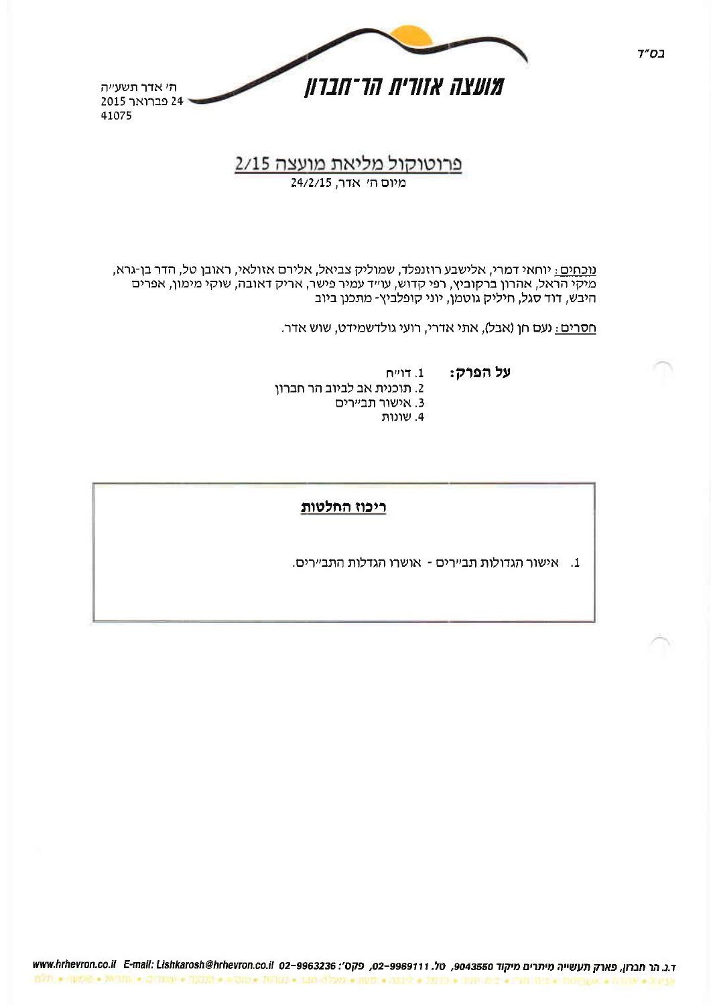

# 2/15 <u>פרוטוקול מליאת מועצה</u>

<u>נוכחים:</u> יוחאי דמרי, אלישבע רוזנפלד, שמוליק צביאל, אלירם אזולאי, ראובן טל, הדר בן-גרא, מיקי הראל, אהרון ברקוביץ, רפי קדוש, עו״ד עמיר פישר, אריק דאובה, שוקי מימון, אפרים היבש, דוד סגל, חיליק גוטמן, יוני קופלביץ- מתכנן ביוב

<u>חסרים:</u> נעם חן (אבל), אתי אדרי, רועי גולדשמידט, שוש אדר.

על הפרק:

- 2. תוכנית אב לביוב הר חברון
	- 3. אישור תביירים
		- 4. שונות

 $\Gamma$ דויית

## ריכוז החלטות.

1. אישור הגדולות תביירים - אושרו הגדלות התביירים.

ד.נ. הר חברון, פארק תעשייה מיתרים מיקוד 9043550, טל. www.hrhevron.co.il E-mail: Lishkarosh@hrhevron.co.il 02-9963236  $\overline{0.77}(\pm .0052) = 201000 \pm 201000 \pm 2000 \pm 2000 \pm 2000 \pm 1000 \pm 2000 \pm 2000 \pm 2000 \pm 2000 \pm 2000 \pm 2000 \pm 2000 \pm 2000 \pm 2000 \pm 2000 \pm 2000 \pm 2000 \pm 2000 \pm 2000 \pm 2000 \pm 2000 \pm 2000 \pm 2000 \pm 2000 \pm 2000 \pm 2000 \pm 2000 \pm 2$ 

 $7"D1$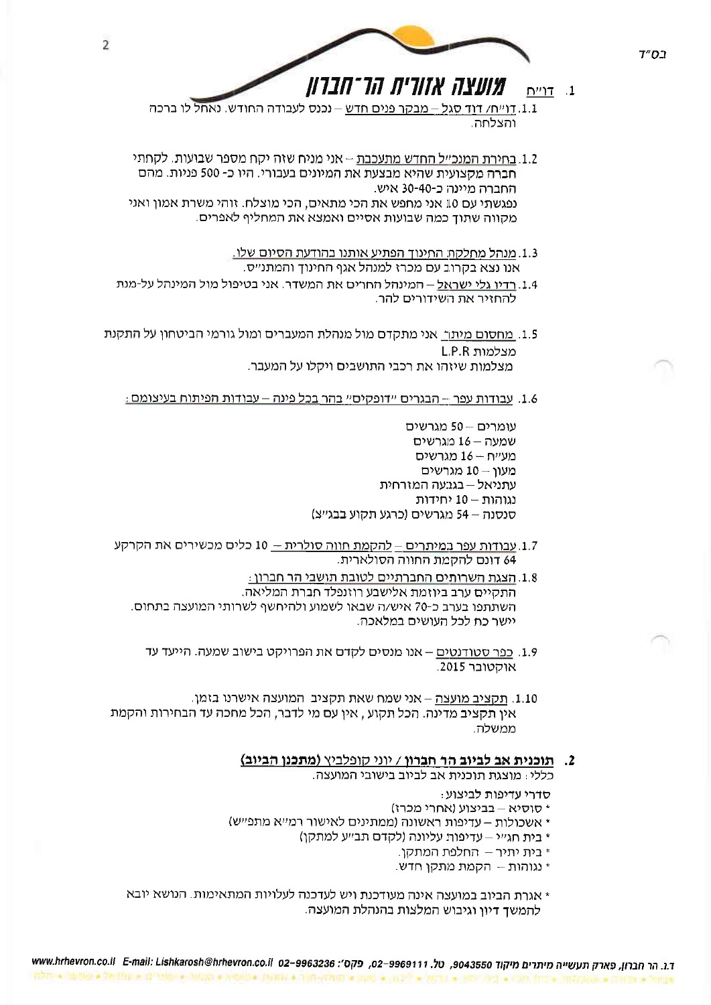

1.1. דֶוִייְחַ/ דְּוַדְ סְגַלֵּ – מִבְקָר פְּנִים חדש – נְכֵנֶס לְעָבּוֹדָה החודש. נְאַחְל לו ברכה והצלחה.

- 1.2. בחירת המנכ״ל החדש מתעכבת אני מניח שזה יקח מספר שבועות. לקחתי חברה מקצועית שהיא מבצעת את המיונים בעבורי. היו כ- 500 פניות. מהם החברה מיינה כ-30-40 איש. נפגשתי עם 10 אני מחפש את הכי מתאים, הכי מוצלח. זוהי משרת אמון ואני מקווה שתוד כמה שבועות אסיים ואמצא את המחליף לאפרים.
	- 1.3. מנהל מחלקת החינוך הפתיע אותנו בהודעת הסיום שלו. אנו נצא בקרוב עם מכרז למנהל אגף החינוך והמתנ״ס.
- 1.4. רדיו גלי ישראל המינהל החרים את המשדר. אני בטיפול מול המינהל על-מנת להחזיר את השידורים להר.
- 1.5. מחסום מיתר, אני מתקדם מול מנהלת המעברים ומול גורמי הביטחון על התקנת מצלמות L.P.R מצלמות שיזהו את רכבי התושבים ויקלו על המעבר.
	- <u>1.6. עבודות עפר הבגרים יידופקיסיי בהר בכל פינה עבודות הפיתוח בעיצומם .</u>

עומרים - 50 מגרשים שמעה - 16 מגרשים מעייח -- 16 מגרשים מעון -- 10 מגרשים עתניאל – בגבעה המזרחית נגוהות – 10 יחידות סנסנה – 54 מגרשים (כרגע תקוע בבגייצ)

- 1.7. עבודות עפר במיתרים להקמת חווה סולרית 10 כלים מכשירים את הקרקע 64 דונם להקמת החווה הסולארית.
	- 1.8. הצגת השרותים החברתיים לטובת תושבי הר חברון : התקיים ערב ביוזמת אלישבע רוזנפלד חברת המליאה. השתתפו בערב כ-70 איש/ה שבאו לשמוע ולהיחשף לשרותי המועצה בתחום. יישר כח לכל העושים במלאכה.
		- 1.9. כפר סטודנטים אנו מנסים לקדם את הפרויקט בישוב שמעה. הייעד עד אוקטובר 2015.
- 1.10. תקציב מועצה אני שמח שאת תקציב. המועצה אישרנו בזמן. אין תקציב מדינה. הכל תקוע , אין עם מי לדבר, הכל מחכה עד הבחירות והקמת ממשלה.

#### 2. תוכנית אב לביוב הר חברון / יוני קופלביץ (מתכנן הביוב)

כללי: מוצגת תוכנית אב לביוב בישובי המועצה.

- : סדרי עדיפות לביצוע
- \* סוסיא בביצוע (אחרי מכרז)
- \* אשכולות עדיפות ראשונה (ממתינים לאישור רמייא מתפייש)
	- \* בית חג״י עדיפות עליונה (לקדם תב״ע למתקן)
		- \* בית יתיר החלפת המתקן.
		- \* נגוהות הקמת מתקן חדש.
- \* אגרת הביוב במועצה אינה מעודכנת ויש לעדכנה לעלויות המתאימות. הנושא יובא להמשד דיוו וגיבוש המלצות בהנהלת המועצה.

 $7"D$